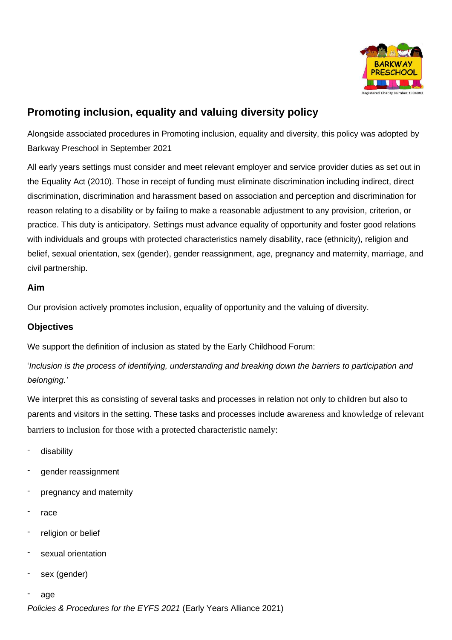

# **Promoting inclusion, equality and valuing diversity policy**

Alongside associated procedures in Promoting inclusion, equality and diversity, this policy was adopted by Barkway Preschool in September 2021

All early years settings must consider and meet relevant employer and service provider duties as set out in the Equality Act (2010). Those in receipt of funding must eliminate discrimination including indirect, direct discrimination, discrimination and harassment based on association and perception and discrimination for reason relating to a disability or by failing to make a reasonable adjustment to any provision, criterion, or practice. This duty is anticipatory. Settings must advance equality of opportunity and foster good relations with individuals and groups with protected characteristics namely disability, race (ethnicity), religion and belief, sexual orientation, sex (gender), gender reassignment, age, pregnancy and maternity, marriage, and civil partnership.

## **Aim**

Our provision actively promotes inclusion, equality of opportunity and the valuing of diversity.

# **Objectives**

We support the definition of inclusion as stated by the Early Childhood Forum:

'*Inclusion is the process of identifying, understanding and breaking down the barriers to participation and belonging.'*

We interpret this as consisting of several tasks and processes in relation not only to children but also to parents and visitors in the setting. These tasks and processes include awareness and knowledge of relevant barriers to inclusion for those with a protected characteristic namely:

- disability
- gender reassignment
- pregnancy and maternity
- race
- religion or belief
- sexual orientation
- sex (gender)
- age

*Policies & Procedures for the EYFS 2021* (Early Years Alliance 2021)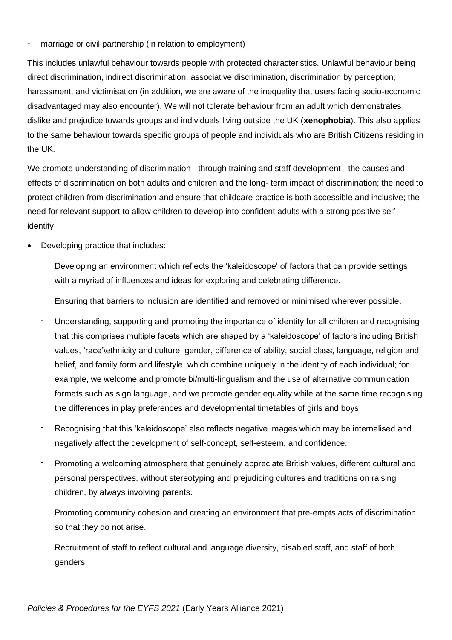marriage or civil partnership (in relation to employment)

This includes unlawful behaviour towards people with protected characteristics. Unlawful behaviour being direct discrimination, indirect discrimination, associative discrimination, discrimination by perception, harassment, and victimisation (in addition, we are aware of the inequality that users facing socio-economic disadvantaged may also encounter). We will not tolerate behaviour from an adult which demonstrates dislike and prejudice towards groups and individuals living outside the UK (**xenophobia**). This also applies to the same behaviour towards specific groups of people and individuals who are British Citizens residing in the UK.

We promote understanding of discrimination - through training and staff development - the causes and effects of discrimination on both adults and children and the long- term impact of discrimination; the need to protect children from discrimination and ensure that childcare practice is both accessible and inclusive; the need for relevant support to allow children to develop into confident adults with a strong positive selfidentity.

- Developing practice that includes:
	- Developing an environment which reflects the 'kaleidoscope' of factors that can provide settings with a myriad of influences and ideas for exploring and celebrating difference.
	- Ensuring that barriers to inclusion are identified and removed or minimised wherever possible.
	- Understanding, supporting and promoting the importance of identity for all children and recognising that this comprises multiple facets which are shaped by a 'kaleidoscope' of factors including British values, 'race'\ethnicity and culture, gender, difference of ability, social class, language, religion and belief, and family form and lifestyle, which combine uniquely in the identity of each individual; for example, we welcome and promote bi/multi-lingualism and the use of alternative communication formats such as sign language, and we promote gender equality while at the same time recognising the differences in play preferences and developmental timetables of girls and boys.
	- Recognising that this 'kaleidoscope' also reflects negative images which may be internalised and negatively affect the development of self-concept, self-esteem, and confidence.
	- Promoting a welcoming atmosphere that genuinely appreciate British values, different cultural and personal perspectives, without stereotyping and prejudicing cultures and traditions on raising children, by always involving parents.
	- Promoting community cohesion and creating an environment that pre-empts acts of discrimination so that they do not arise.
	- Recruitment of staff to reflect cultural and language diversity, disabled staff, and staff of both genders.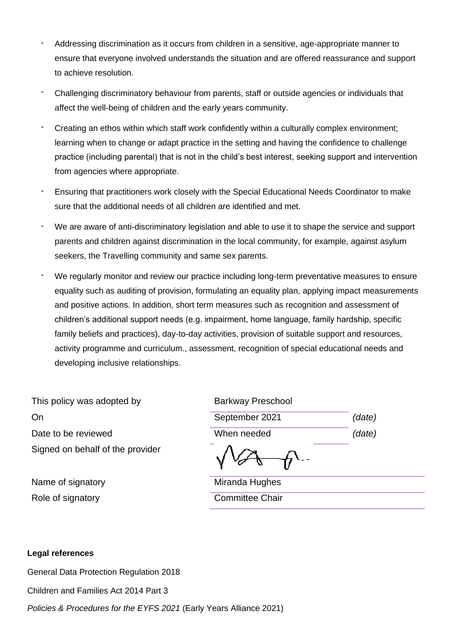- Addressing discrimination as it occurs from children in a sensitive, age-appropriate manner to ensure that everyone involved understands the situation and are offered reassurance and support to achieve resolution.
- Challenging discriminatory behaviour from parents, staff or outside agencies or individuals that affect the well-being of children and the early years community.
- Creating an ethos within which staff work confidently within a culturally complex environment; learning when to change or adapt practice in the setting and having the confidence to challenge practice (including parental) that is not in the child's best interest, seeking support and intervention from agencies where appropriate.
- Ensuring that practitioners work closely with the Special Educational Needs Coordinator to make sure that the additional needs of all children are identified and met.
- We are aware of anti-discriminatory legislation and able to use it to shape the service and support parents and children against discrimination in the local community, for example, against asylum seekers, the Travelling community and same sex parents.
- We regularly monitor and review our practice including long-term preventative measures to ensure equality such as auditing of provision, formulating an equality plan, applying impact measurements and positive actions. In addition, short term measures such as recognition and assessment of children's additional support needs (e.g. impairment, home language, family hardship, specific family beliefs and practices), day-to-day activities, provision of suitable support and resources, activity programme and curriculum., assessment, recognition of special educational needs and developing inclusive relationships.

| This policy was adopted by       | <b>Barkway Preschool</b> |        |
|----------------------------------|--------------------------|--------|
| On                               | September 2021           | (date) |
| Date to be reviewed              | When needed              | (date) |
| Signed on behalf of the provider |                          |        |
| Name of signatory                | Miranda Hughes           |        |
| Role of signatory                | <b>Committee Chair</b>   |        |

#### **Legal references**

General Data Protection Regulation 2018

Children and Families Act 2014 Part 3

*Policies & Procedures for the EYFS 2021* (Early Years Alliance 2021)